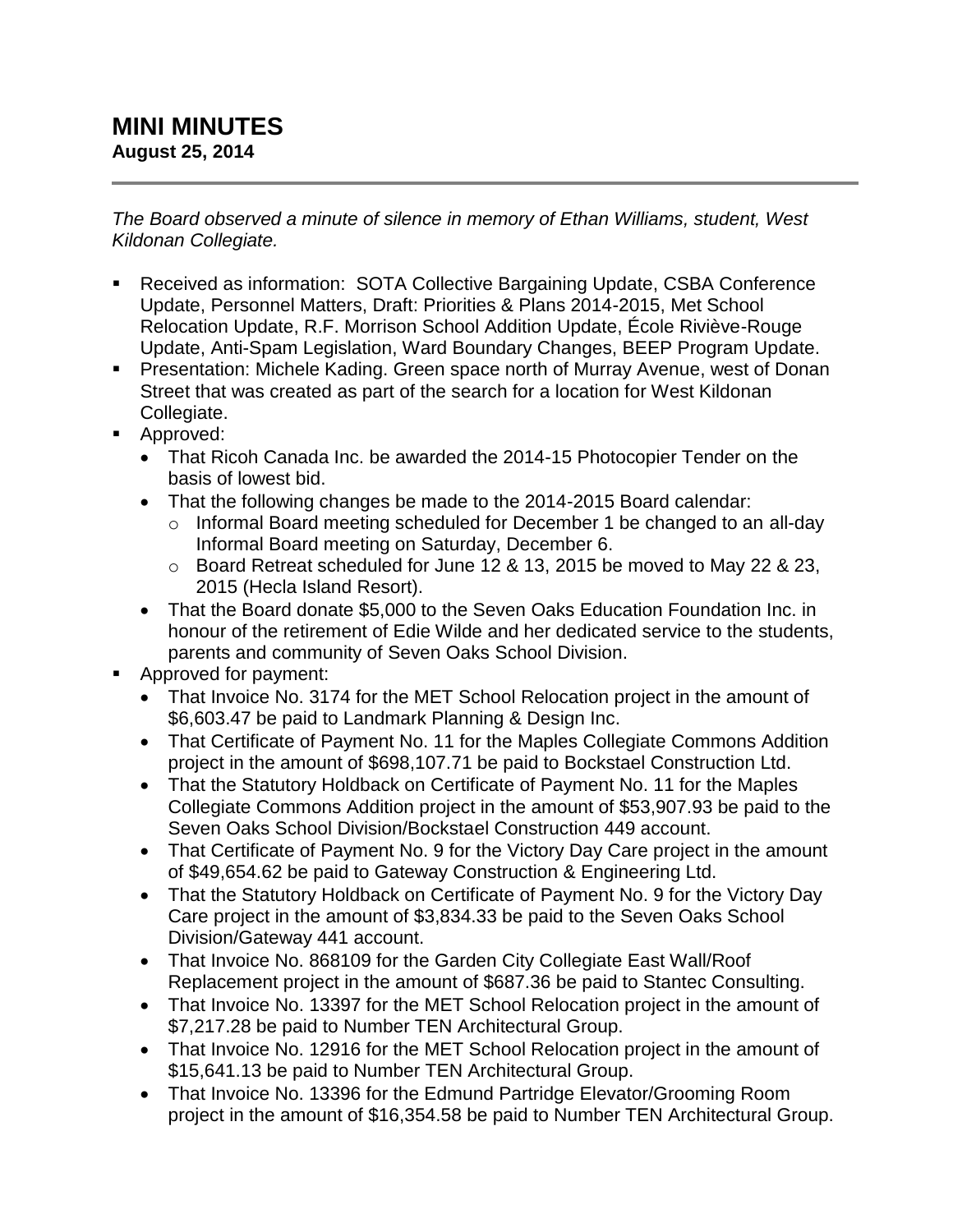## **MINI MINUTES August 25, 2014**

*The Board observed a minute of silence in memory of Ethan Williams, student, West Kildonan Collegiate.*

- Received as information: SOTA Collective Bargaining Update, CSBA Conference Update, Personnel Matters, Draft: Priorities & Plans 2014-2015, Met School Relocation Update, R.F. Morrison School Addition Update, École Riviève-Rouge Update, Anti-Spam Legislation, Ward Boundary Changes, BEEP Program Update.
- **Presentation: Michele Kading. Green space north of Murray Avenue, west of Donan** Street that was created as part of the search for a location for West Kildonan Collegiate.
- **Approved:** 
	- That Ricoh Canada Inc. be awarded the 2014-15 Photocopier Tender on the basis of lowest bid.
	- That the following changes be made to the 2014-2015 Board calendar:
		- o Informal Board meeting scheduled for December 1 be changed to an all-day Informal Board meeting on Saturday, December 6.
		- o Board Retreat scheduled for June 12 & 13, 2015 be moved to May 22 & 23, 2015 (Hecla Island Resort).
	- That the Board donate \$5,000 to the Seven Oaks Education Foundation Inc. in honour of the retirement of Edie Wilde and her dedicated service to the students, parents and community of Seven Oaks School Division.
- Approved for payment:
	- That Invoice No. 3174 for the MET School Relocation project in the amount of \$6,603.47 be paid to Landmark Planning & Design Inc.
	- That Certificate of Payment No. 11 for the Maples Collegiate Commons Addition project in the amount of \$698,107.71 be paid to Bockstael Construction Ltd.
	- That the Statutory Holdback on Certificate of Payment No. 11 for the Maples Collegiate Commons Addition project in the amount of \$53,907.93 be paid to the Seven Oaks School Division/Bockstael Construction 449 account.
	- That Certificate of Payment No. 9 for the Victory Day Care project in the amount of \$49,654.62 be paid to Gateway Construction & Engineering Ltd.
	- That the Statutory Holdback on Certificate of Payment No. 9 for the Victory Day Care project in the amount of \$3,834.33 be paid to the Seven Oaks School Division/Gateway 441 account.
	- That Invoice No. 868109 for the Garden City Collegiate East Wall/Roof Replacement project in the amount of \$687.36 be paid to Stantec Consulting.
	- That Invoice No. 13397 for the MET School Relocation project in the amount of \$7,217.28 be paid to Number TEN Architectural Group.
	- That Invoice No. 12916 for the MET School Relocation project in the amount of \$15,641.13 be paid to Number TEN Architectural Group.
	- That Invoice No. 13396 for the Edmund Partridge Elevator/Grooming Room project in the amount of \$16,354.58 be paid to Number TEN Architectural Group.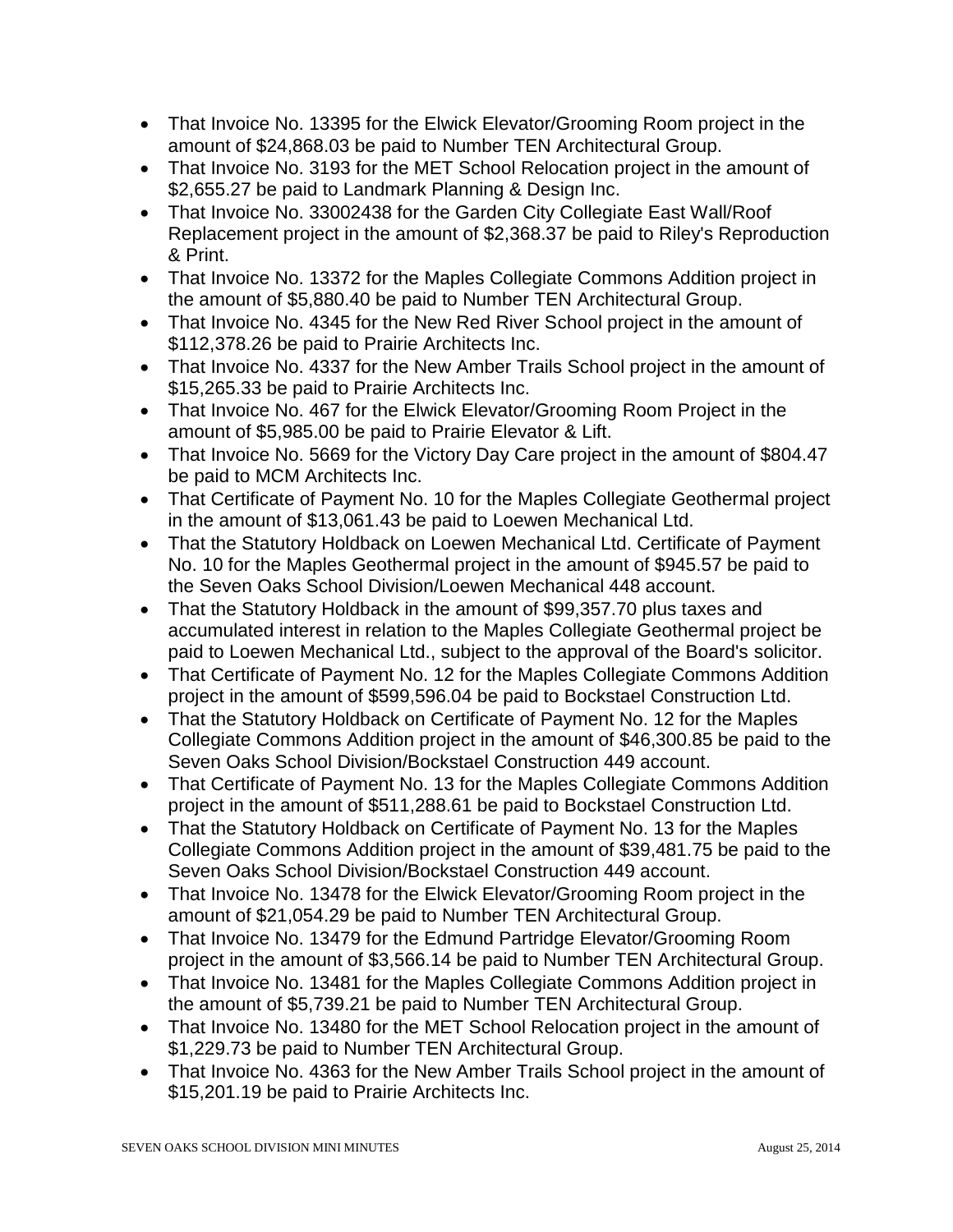- That Invoice No. 13395 for the Elwick Elevator/Grooming Room project in the amount of \$24,868.03 be paid to Number TEN Architectural Group.
- That Invoice No. 3193 for the MET School Relocation project in the amount of \$2,655.27 be paid to Landmark Planning & Design Inc.
- That Invoice No. 33002438 for the Garden City Collegiate East Wall/Roof Replacement project in the amount of \$2,368.37 be paid to Riley's Reproduction & Print.
- That Invoice No. 13372 for the Maples Collegiate Commons Addition project in the amount of \$5,880.40 be paid to Number TEN Architectural Group.
- That Invoice No. 4345 for the New Red River School project in the amount of \$112,378.26 be paid to Prairie Architects Inc.
- That Invoice No. 4337 for the New Amber Trails School project in the amount of \$15,265.33 be paid to Prairie Architects Inc.
- That Invoice No. 467 for the Elwick Elevator/Grooming Room Project in the amount of \$5,985.00 be paid to Prairie Elevator & Lift.
- That Invoice No. 5669 for the Victory Day Care project in the amount of \$804.47 be paid to MCM Architects Inc.
- That Certificate of Payment No. 10 for the Maples Collegiate Geothermal project in the amount of \$13,061.43 be paid to Loewen Mechanical Ltd.
- That the Statutory Holdback on Loewen Mechanical Ltd. Certificate of Payment No. 10 for the Maples Geothermal project in the amount of \$945.57 be paid to the Seven Oaks School Division/Loewen Mechanical 448 account.
- That the Statutory Holdback in the amount of \$99,357.70 plus taxes and accumulated interest in relation to the Maples Collegiate Geothermal project be paid to Loewen Mechanical Ltd., subject to the approval of the Board's solicitor.
- That Certificate of Payment No. 12 for the Maples Collegiate Commons Addition project in the amount of \$599,596.04 be paid to Bockstael Construction Ltd.
- That the Statutory Holdback on Certificate of Payment No. 12 for the Maples Collegiate Commons Addition project in the amount of \$46,300.85 be paid to the Seven Oaks School Division/Bockstael Construction 449 account.
- That Certificate of Payment No. 13 for the Maples Collegiate Commons Addition project in the amount of \$511,288.61 be paid to Bockstael Construction Ltd.
- That the Statutory Holdback on Certificate of Payment No. 13 for the Maples Collegiate Commons Addition project in the amount of \$39,481.75 be paid to the Seven Oaks School Division/Bockstael Construction 449 account.
- That Invoice No. 13478 for the Elwick Elevator/Grooming Room project in the amount of \$21,054.29 be paid to Number TEN Architectural Group.
- That Invoice No. 13479 for the Edmund Partridge Elevator/Grooming Room project in the amount of \$3,566.14 be paid to Number TEN Architectural Group.
- That Invoice No. 13481 for the Maples Collegiate Commons Addition project in the amount of \$5,739.21 be paid to Number TEN Architectural Group.
- That Invoice No. 13480 for the MET School Relocation project in the amount of \$1,229.73 be paid to Number TEN Architectural Group.
- That Invoice No. 4363 for the New Amber Trails School project in the amount of \$15,201.19 be paid to Prairie Architects Inc.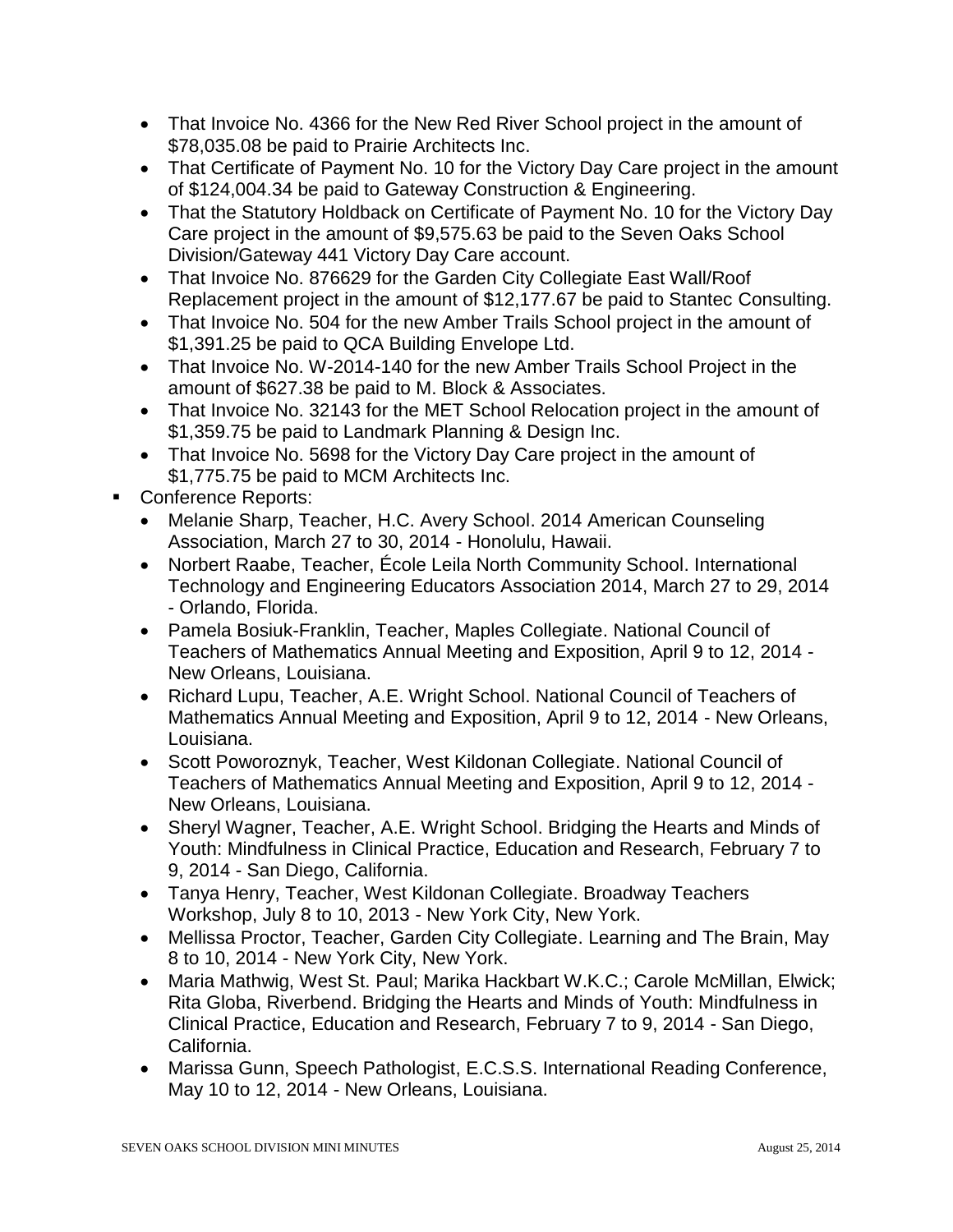- That Invoice No. 4366 for the New Red River School project in the amount of \$78,035.08 be paid to Prairie Architects Inc.
- That Certificate of Payment No. 10 for the Victory Day Care project in the amount of \$124,004.34 be paid to Gateway Construction & Engineering.
- That the Statutory Holdback on Certificate of Payment No. 10 for the Victory Day Care project in the amount of \$9,575.63 be paid to the Seven Oaks School Division/Gateway 441 Victory Day Care account.
- That Invoice No. 876629 for the Garden City Collegiate East Wall/Roof Replacement project in the amount of \$12,177.67 be paid to Stantec Consulting.
- That Invoice No. 504 for the new Amber Trails School project in the amount of \$1,391.25 be paid to QCA Building Envelope Ltd.
- That Invoice No. W-2014-140 for the new Amber Trails School Project in the amount of \$627.38 be paid to M. Block & Associates.
- That Invoice No. 32143 for the MET School Relocation project in the amount of \$1,359.75 be paid to Landmark Planning & Design Inc.
- That Invoice No. 5698 for the Victory Day Care project in the amount of \$1,775.75 be paid to MCM Architects Inc.
- Conference Reports:
	- Melanie Sharp, Teacher, H.C. Avery School. 2014 American Counseling Association, March 27 to 30, 2014 - Honolulu, Hawaii.
	- Norbert Raabe, Teacher, École Leila North Community School. International Technology and Engineering Educators Association 2014, March 27 to 29, 2014 - Orlando, Florida.
	- Pamela Bosiuk-Franklin, Teacher, Maples Collegiate. National Council of Teachers of Mathematics Annual Meeting and Exposition, April 9 to 12, 2014 - New Orleans, Louisiana.
	- Richard Lupu, Teacher, A.E. Wright School. National Council of Teachers of Mathematics Annual Meeting and Exposition, April 9 to 12, 2014 - New Orleans, Louisiana.
	- Scott Poworoznyk, Teacher, West Kildonan Collegiate. National Council of Teachers of Mathematics Annual Meeting and Exposition, April 9 to 12, 2014 - New Orleans, Louisiana.
	- Sheryl Wagner, Teacher, A.E. Wright School. Bridging the Hearts and Minds of Youth: Mindfulness in Clinical Practice, Education and Research, February 7 to 9, 2014 - San Diego, California.
	- Tanya Henry, Teacher, West Kildonan Collegiate. Broadway Teachers Workshop, July 8 to 10, 2013 - New York City, New York.
	- Mellissa Proctor, Teacher, Garden City Collegiate. Learning and The Brain, May 8 to 10, 2014 - New York City, New York.
	- Maria Mathwig, West St. Paul; Marika Hackbart W.K.C.; Carole McMillan, Elwick; Rita Globa, Riverbend. Bridging the Hearts and Minds of Youth: Mindfulness in Clinical Practice, Education and Research, February 7 to 9, 2014 - San Diego, California.
	- Marissa Gunn, Speech Pathologist, E.C.S.S. International Reading Conference, May 10 to 12, 2014 - New Orleans, Louisiana.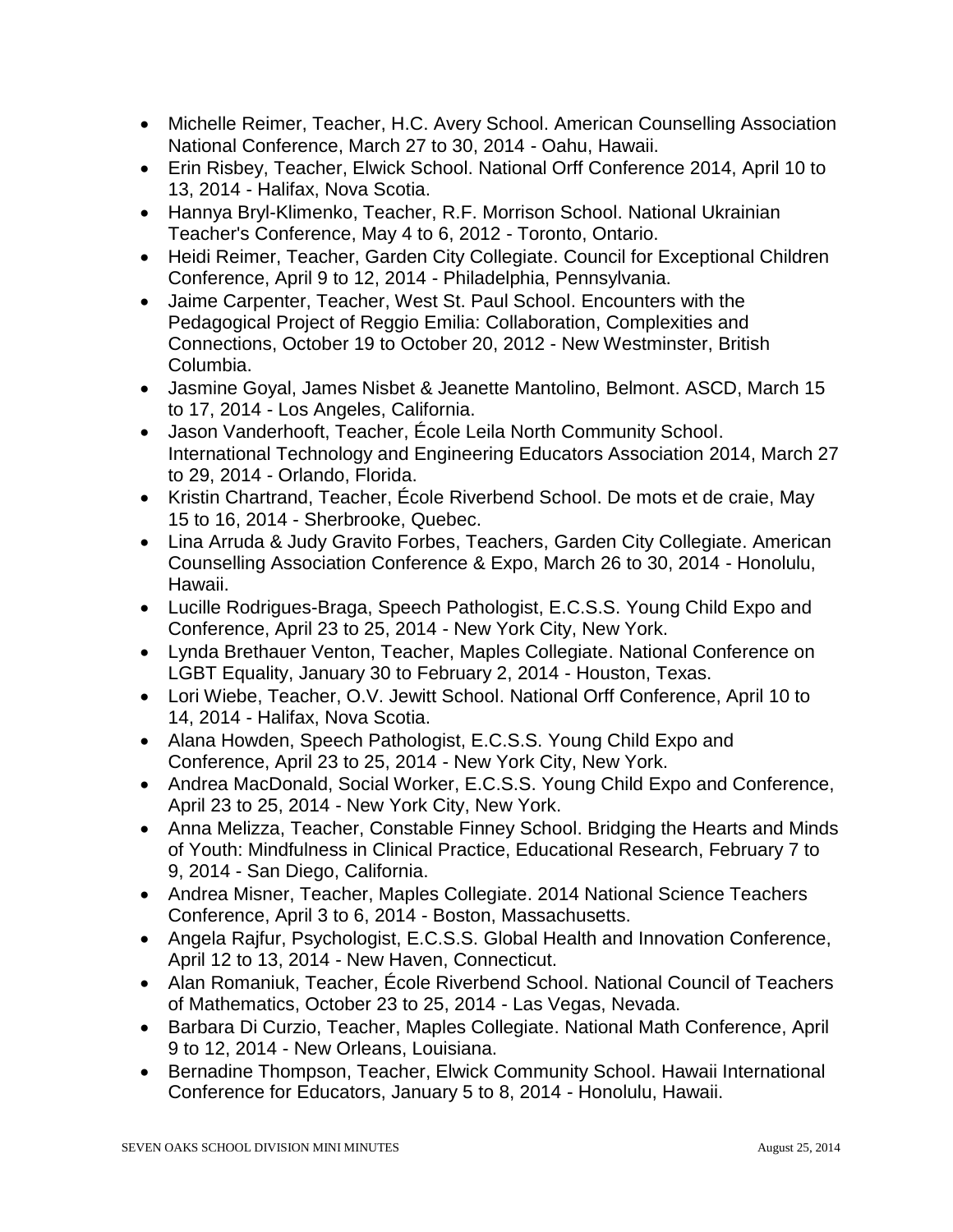- Michelle Reimer, Teacher, H.C. Avery School. American Counselling Association National Conference, March 27 to 30, 2014 - Oahu, Hawaii.
- Erin Risbey, Teacher, Elwick School. National Orff Conference 2014, April 10 to 13, 2014 - Halifax, Nova Scotia.
- Hannya Bryl-Klimenko, Teacher, R.F. Morrison School. National Ukrainian Teacher's Conference, May 4 to 6, 2012 - Toronto, Ontario.
- Heidi Reimer, Teacher, Garden City Collegiate. Council for Exceptional Children Conference, April 9 to 12, 2014 - Philadelphia, Pennsylvania.
- Jaime Carpenter, Teacher, West St. Paul School. Encounters with the Pedagogical Project of Reggio Emilia: Collaboration, Complexities and Connections, October 19 to October 20, 2012 - New Westminster, British Columbia.
- Jasmine Goyal, James Nisbet & Jeanette Mantolino, Belmont. ASCD, March 15 to 17, 2014 - Los Angeles, California.
- Jason Vanderhooft, Teacher, École Leila North Community School. International Technology and Engineering Educators Association 2014, March 27 to 29, 2014 - Orlando, Florida.
- Kristin Chartrand, Teacher, École Riverbend School. De mots et de craie, May 15 to 16, 2014 - Sherbrooke, Quebec.
- Lina Arruda & Judy Gravito Forbes, Teachers, Garden City Collegiate. American Counselling Association Conference & Expo, March 26 to 30, 2014 - Honolulu, Hawaii.
- Lucille Rodrigues-Braga, Speech Pathologist, E.C.S.S. Young Child Expo and Conference, April 23 to 25, 2014 - New York City, New York.
- Lynda Brethauer Venton, Teacher, Maples Collegiate. National Conference on LGBT Equality, January 30 to February 2, 2014 - Houston, Texas.
- Lori Wiebe, Teacher, O.V. Jewitt School. National Orff Conference, April 10 to 14, 2014 - Halifax, Nova Scotia.
- Alana Howden, Speech Pathologist, E.C.S.S. Young Child Expo and Conference, April 23 to 25, 2014 - New York City, New York.
- Andrea MacDonald, Social Worker, E.C.S.S. Young Child Expo and Conference, April 23 to 25, 2014 - New York City, New York.
- Anna Melizza, Teacher, Constable Finney School. Bridging the Hearts and Minds of Youth: Mindfulness in Clinical Practice, Educational Research, February 7 to 9, 2014 - San Diego, California.
- Andrea Misner, Teacher, Maples Collegiate. 2014 National Science Teachers Conference, April 3 to 6, 2014 - Boston, Massachusetts.
- Angela Rajfur, Psychologist, E.C.S.S. Global Health and Innovation Conference, April 12 to 13, 2014 - New Haven, Connecticut.
- Alan Romaniuk, Teacher, École Riverbend School. National Council of Teachers of Mathematics, October 23 to 25, 2014 - Las Vegas, Nevada.
- Barbara Di Curzio, Teacher, Maples Collegiate. National Math Conference, April 9 to 12, 2014 - New Orleans, Louisiana.
- Bernadine Thompson, Teacher, Elwick Community School. Hawaii International Conference for Educators, January 5 to 8, 2014 - Honolulu, Hawaii.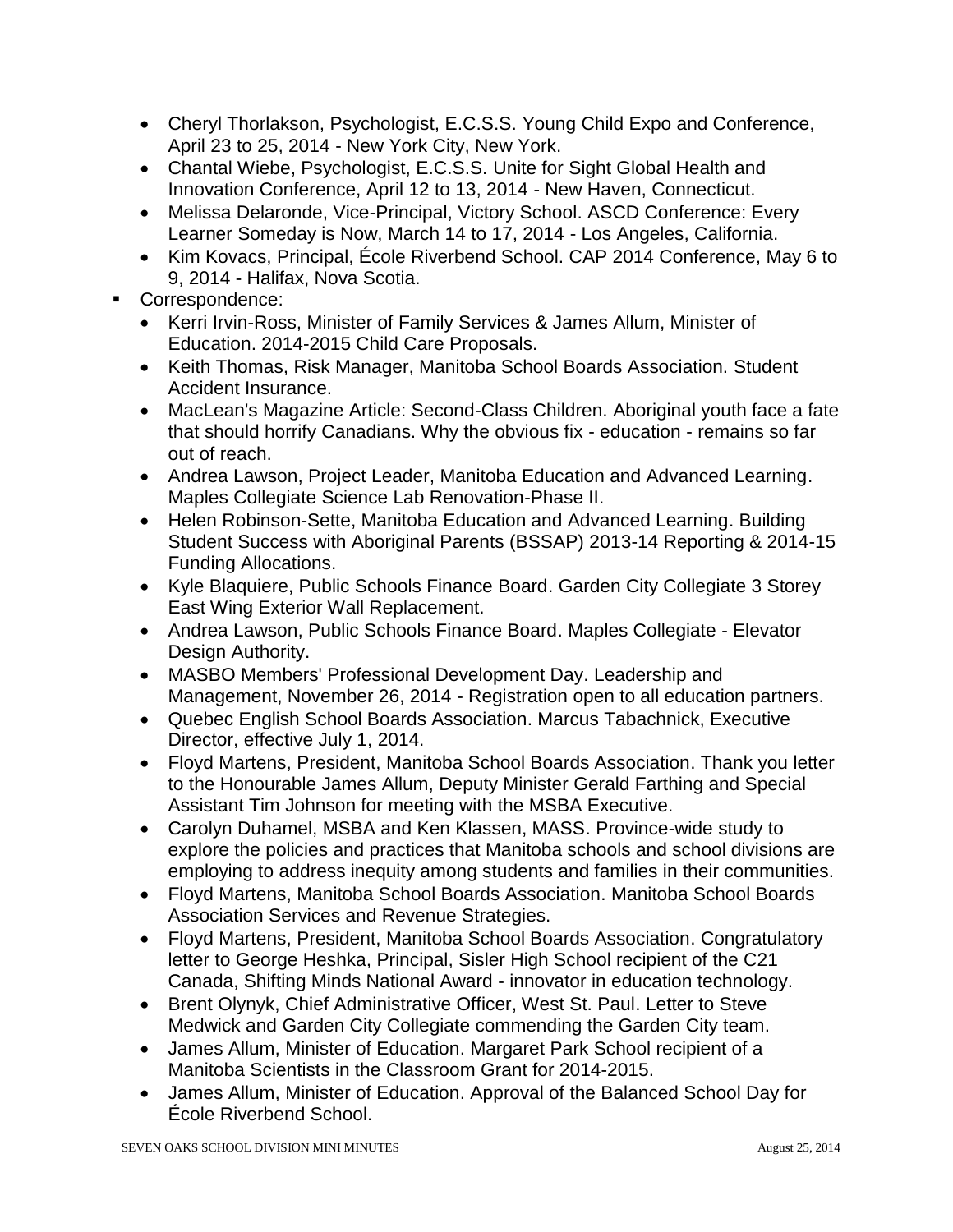- Cheryl Thorlakson, Psychologist, E.C.S.S. Young Child Expo and Conference, April 23 to 25, 2014 - New York City, New York.
- Chantal Wiebe, Psychologist, E.C.S.S. Unite for Sight Global Health and Innovation Conference, April 12 to 13, 2014 - New Haven, Connecticut.
- Melissa Delaronde, Vice-Principal, Victory School. ASCD Conference: Every Learner Someday is Now, March 14 to 17, 2014 - Los Angeles, California.
- Kim Kovacs, Principal, École Riverbend School. CAP 2014 Conference, May 6 to 9, 2014 - Halifax, Nova Scotia.
- Correspondence:
	- Kerri Irvin-Ross, Minister of Family Services & James Allum, Minister of Education. 2014-2015 Child Care Proposals.
	- Keith Thomas, Risk Manager, Manitoba School Boards Association. Student Accident Insurance.
	- MacLean's Magazine Article: Second-Class Children. Aboriginal youth face a fate that should horrify Canadians. Why the obvious fix - education - remains so far out of reach.
	- Andrea Lawson, Project Leader, Manitoba Education and Advanced Learning. Maples Collegiate Science Lab Renovation-Phase II.
	- Helen Robinson-Sette, Manitoba Education and Advanced Learning. Building Student Success with Aboriginal Parents (BSSAP) 2013-14 Reporting & 2014-15 Funding Allocations.
	- Kyle Blaquiere, Public Schools Finance Board. Garden City Collegiate 3 Storey East Wing Exterior Wall Replacement.
	- Andrea Lawson, Public Schools Finance Board. Maples Collegiate Elevator Design Authority.
	- MASBO Members' Professional Development Day. Leadership and Management, November 26, 2014 - Registration open to all education partners.
	- Quebec English School Boards Association. Marcus Tabachnick, Executive Director, effective July 1, 2014.
	- Floyd Martens, President, Manitoba School Boards Association. Thank you letter to the Honourable James Allum, Deputy Minister Gerald Farthing and Special Assistant Tim Johnson for meeting with the MSBA Executive.
	- Carolyn Duhamel, MSBA and Ken Klassen, MASS. Province-wide study to explore the policies and practices that Manitoba schools and school divisions are employing to address inequity among students and families in their communities.
	- Floyd Martens, Manitoba School Boards Association. Manitoba School Boards Association Services and Revenue Strategies.
	- Floyd Martens, President, Manitoba School Boards Association. Congratulatory letter to George Heshka, Principal, Sisler High School recipient of the C21 Canada, Shifting Minds National Award - innovator in education technology.
	- Brent Olynyk, Chief Administrative Officer, West St. Paul. Letter to Steve Medwick and Garden City Collegiate commending the Garden City team.
	- James Allum, Minister of Education. Margaret Park School recipient of a Manitoba Scientists in the Classroom Grant for 2014-2015.
	- James Allum, Minister of Education. Approval of the Balanced School Day for École Riverbend School.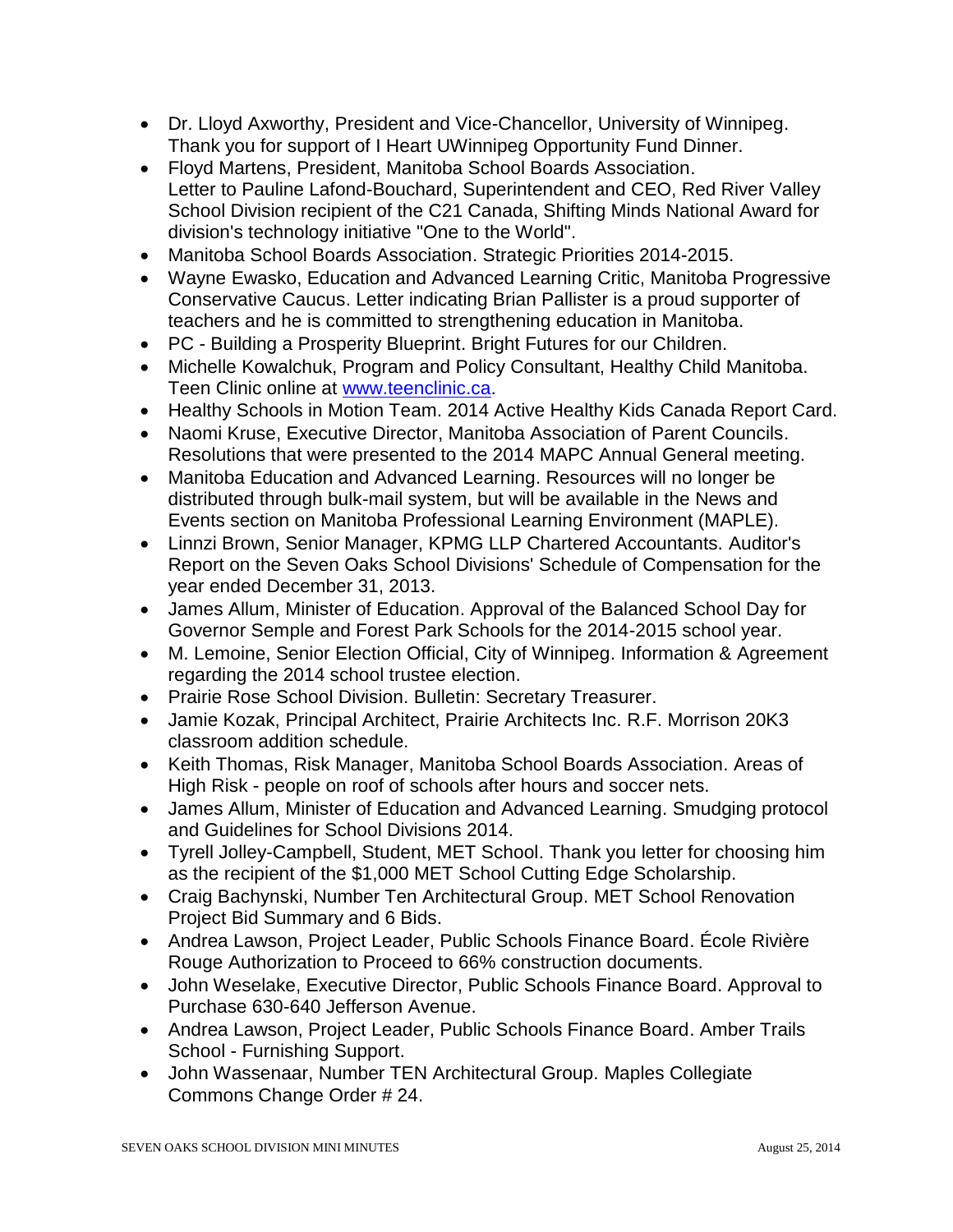- Dr. Lloyd Axworthy, President and Vice-Chancellor, University of Winnipeg. Thank you for support of I Heart UWinnipeg Opportunity Fund Dinner.
- Floyd Martens, President, Manitoba School Boards Association. Letter to Pauline Lafond-Bouchard, Superintendent and CEO, Red River Valley School Division recipient of the C21 Canada, Shifting Minds National Award for division's technology initiative "One to the World".
- Manitoba School Boards Association. Strategic Priorities 2014-2015.
- Wayne Ewasko, Education and Advanced Learning Critic, Manitoba Progressive Conservative Caucus. Letter indicating Brian Pallister is a proud supporter of teachers and he is committed to strengthening education in Manitoba.
- PC Building a Prosperity Blueprint. Bright Futures for our Children.
- Michelle Kowalchuk, Program and Policy Consultant, Healthy Child Manitoba. Teen Clinic online at [www.teenclinic.ca.](http://www.teenclinic.ca/)
- Healthy Schools in Motion Team. 2014 Active Healthy Kids Canada Report Card.
- Naomi Kruse, Executive Director, Manitoba Association of Parent Councils. Resolutions that were presented to the 2014 MAPC Annual General meeting.
- Manitoba Education and Advanced Learning. Resources will no longer be distributed through bulk-mail system, but will be available in the News and Events section on Manitoba Professional Learning Environment (MAPLE).
- Linnzi Brown, Senior Manager, KPMG LLP Chartered Accountants. Auditor's Report on the Seven Oaks School Divisions' Schedule of Compensation for the year ended December 31, 2013.
- James Allum, Minister of Education. Approval of the Balanced School Day for Governor Semple and Forest Park Schools for the 2014-2015 school year.
- M. Lemoine, Senior Election Official, City of Winnipeg. Information & Agreement regarding the 2014 school trustee election.
- Prairie Rose School Division. Bulletin: Secretary Treasurer.
- Jamie Kozak, Principal Architect, Prairie Architects Inc. R.F. Morrison 20K3 classroom addition schedule.
- Keith Thomas, Risk Manager, Manitoba School Boards Association. Areas of High Risk - people on roof of schools after hours and soccer nets.
- James Allum, Minister of Education and Advanced Learning. Smudging protocol and Guidelines for School Divisions 2014.
- Tyrell Jolley-Campbell, Student, MET School. Thank you letter for choosing him as the recipient of the \$1,000 MET School Cutting Edge Scholarship.
- Craig Bachynski, Number Ten Architectural Group. MET School Renovation Project Bid Summary and 6 Bids.
- Andrea Lawson, Project Leader, Public Schools Finance Board. École Rivière Rouge Authorization to Proceed to 66% construction documents.
- John Weselake, Executive Director, Public Schools Finance Board. Approval to Purchase 630-640 Jefferson Avenue.
- Andrea Lawson, Project Leader, Public Schools Finance Board. Amber Trails School - Furnishing Support.
- John Wassenaar, Number TEN Architectural Group. Maples Collegiate Commons Change Order # 24.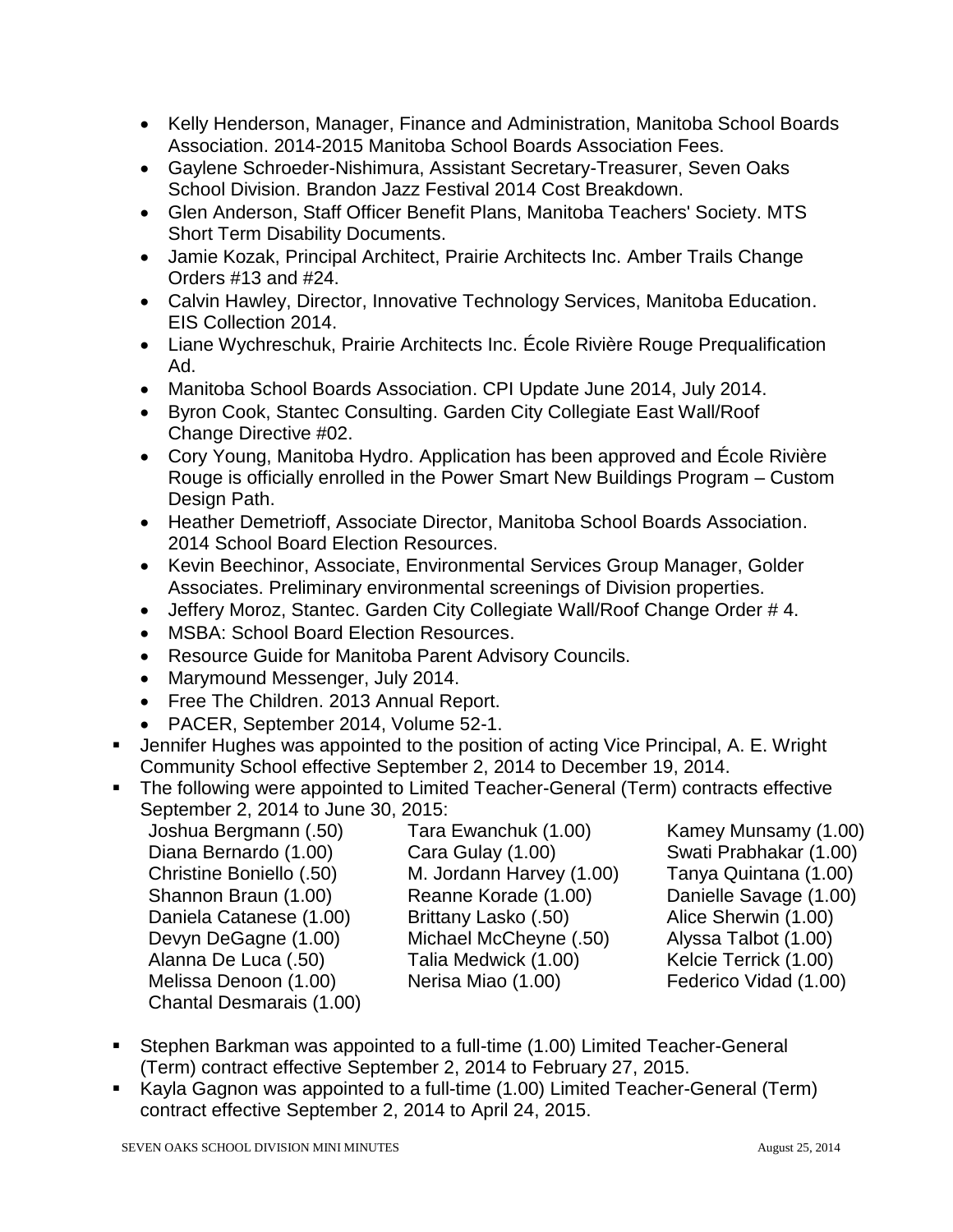- Kelly Henderson, Manager, Finance and Administration, Manitoba School Boards Association. 2014-2015 Manitoba School Boards Association Fees.
- Gaylene Schroeder-Nishimura, Assistant Secretary-Treasurer, Seven Oaks School Division. Brandon Jazz Festival 2014 Cost Breakdown.
- Glen Anderson, Staff Officer Benefit Plans, Manitoba Teachers' Society. MTS Short Term Disability Documents.
- Jamie Kozak, Principal Architect, Prairie Architects Inc. Amber Trails Change Orders #13 and #24.
- Calvin Hawley, Director, Innovative Technology Services, Manitoba Education. EIS Collection 2014.
- Liane Wychreschuk, Prairie Architects Inc. École Rivière Rouge Prequalification Ad.
- Manitoba School Boards Association. CPI Update June 2014, July 2014.
- Byron Cook, Stantec Consulting. Garden City Collegiate East Wall/Roof Change Directive #02.
- Cory Young, Manitoba Hydro. Application has been approved and École Rivière Rouge is officially enrolled in the Power Smart New Buildings Program – Custom Design Path.
- Heather Demetrioff, Associate Director, Manitoba School Boards Association. 2014 School Board Election Resources.
- Kevin Beechinor, Associate, Environmental Services Group Manager, Golder Associates. Preliminary environmental screenings of Division properties.
- Jeffery Moroz, Stantec. Garden City Collegiate Wall/Roof Change Order #4.
- MSBA: School Board Election Resources.
- Resource Guide for Manitoba Parent Advisory Councils.
- Marymound Messenger, July 2014.
- Free The Children. 2013 Annual Report.
- PACER, September 2014, Volume 52-1.
- Jennifer Hughes was appointed to the position of acting Vice Principal, A. E. Wright Community School effective September 2, 2014 to December 19, 2014.
- The following were appointed to Limited Teacher-General (Term) contracts effective September 2, 2014 to June 30, 2015:
	- Joshua Bergmann (.50) Diana Bernardo (1.00) Christine Boniello (.50) Shannon Braun (1.00) Daniela Catanese (1.00) Devyn DeGagne (1.00) Alanna De Luca (.50) Melissa Denoon (1.00) Chantal Desmarais (1.00)

Tara Ewanchuk (1.00) Cara Gulay (1.00) M. Jordann Harvey (1.00) Reanne Korade (1.00) Brittany Lasko (.50) Michael McCheyne (.50) Talia Medwick (1.00) Nerisa Miao (1.00)

Kamey Munsamy (1.00) Swati Prabhakar (1.00) Tanya Quintana (1.00) Danielle Savage (1.00) Alice Sherwin (1.00) Alyssa Talbot (1.00) Kelcie Terrick (1.00) Federico Vidad (1.00)

- Stephen Barkman was appointed to a full-time (1.00) Limited Teacher-General (Term) contract effective September 2, 2014 to February 27, 2015.
- Kayla Gagnon was appointed to a full-time (1.00) Limited Teacher-General (Term) contract effective September 2, 2014 to April 24, 2015.